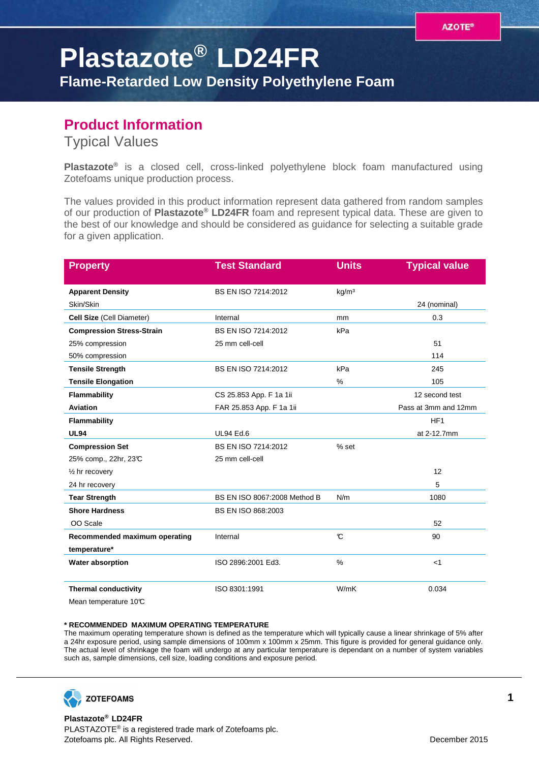## **Plastazote® LD24FR Flame-Retarded Low Density Polyethylene Foam**

## **Product Information**

Typical Values

**Plastazote®** is a closed cell, cross-linked polyethylene block foam manufactured using Zotefoams unique production process.

The values provided in this product information represent data gathered from random samples of our production of **Plastazote® LD24FR** foam and represent typical data. These are given to the best of our knowledge and should be considered as guidance for selecting a suitable grade for a given application.

| <b>Property</b>                  | <b>Test Standard</b>         | <b>Units</b>      | <b>Typical value</b> |
|----------------------------------|------------------------------|-------------------|----------------------|
| <b>Apparent Density</b>          | BS EN ISO 7214:2012          | kg/m <sup>3</sup> |                      |
| Skin/Skin                        |                              |                   | 24 (nominal)         |
| Cell Size (Cell Diameter)        | Internal                     | mm                | 0.3                  |
| <b>Compression Stress-Strain</b> | BS EN ISO 7214:2012          | kPa               |                      |
| 25% compression                  | 25 mm cell-cell              |                   | 51                   |
| 50% compression                  |                              |                   | 114                  |
| <b>Tensile Strength</b>          | BS EN ISO 7214:2012          | kPa               | 245                  |
| <b>Tensile Elongation</b>        |                              | $\%$              | 105                  |
| Flammability                     | CS 25.853 App. F 1a 1ii      |                   | 12 second test       |
| <b>Aviation</b>                  | FAR 25.853 App. F 1a 1ii     |                   | Pass at 3mm and 12mm |
| Flammability                     |                              |                   | HF <sub>1</sub>      |
| <b>UL94</b>                      | <b>UL94 Ed.6</b>             |                   | at 2-12.7mm          |
| <b>Compression Set</b>           | BS EN ISO 7214:2012          | % set             |                      |
| 25% comp., 22hr, 23℃             | 25 mm cell-cell              |                   |                      |
| $\frac{1}{2}$ hr recovery        |                              |                   | 12                   |
| 24 hr recovery                   |                              |                   | 5                    |
| <b>Tear Strength</b>             | BS EN ISO 8067:2008 Method B | N/m               | 1080                 |
| <b>Shore Hardness</b>            | BS EN ISO 868:2003           |                   |                      |
| OO Scale                         |                              |                   | 52                   |
| Recommended maximum operating    | Internal                     | $\mathcal{C}$     | 90                   |
| temperature*                     |                              |                   |                      |
| Water absorption                 | ISO 2896:2001 Ed3.           | %                 | $<$ 1                |
| <b>Thermal conductivity</b>      | ISO 8301:1991                | W/mK              | 0.034                |
| Mean temperature 10°C            |                              |                   |                      |

## **\* RECOMMENDED MAXIMUM OPERATING TEMPERATURE**

The maximum operating temperature shown is defined as the temperature which will typically cause a linear shrinkage of 5% after a 24hr exposure period, using sample dimensions of 100mm x 100mm x 25mm. This figure is provided for general guidance only. The actual level of shrinkage the foam will undergo at any particular temperature is dependant on a number of system variables such as, sample dimensions, cell size, loading conditions and exposure period.



**Plastazote® LD24FR** PLASTAZOTE® is a registered trade mark of Zotefoams plc. Zotefoams plc. All Rights Reserved. December 2015